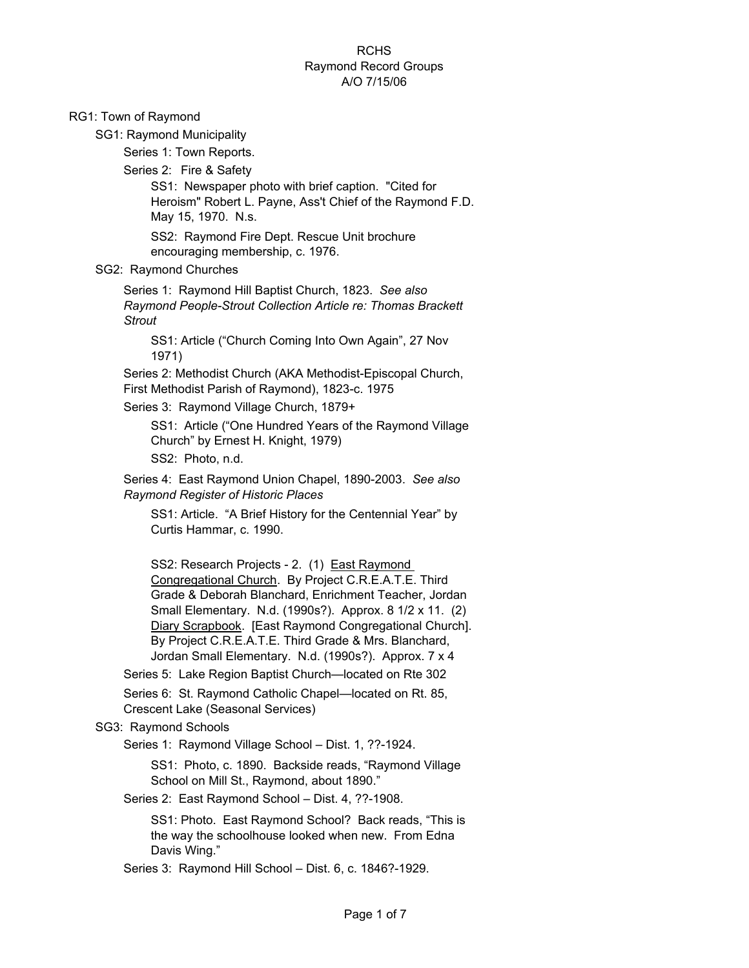## **RCHS** Raymond Record Groups A/O 7/15/06

#### RG1: Town of Raymond

SG1: Raymond Municipality

Series 1: Town Reports.

Series 2:Fire & Safety

SS1: Newspaper photo with brief caption. "Cited for Heroism" Robert L. Payne, Ass't Chief of the Raymond F.D. May 15, 1970. N.s.

SS2: Raymond Fire Dept. Rescue Unit brochure encouraging membership, c. 1976.

#### SG2: Raymond Churches

Series 1: Raymond Hill Baptist Church, 1823. *See also Raymond People-Strout Collection Article re: Thomas Brackett Strout*

SS1: Article ("Church Coming Into Own Again", 27 Nov 1971)

Series 2: Methodist Church (AKA Methodist-Episcopal Church, First Methodist Parish of Raymond), 1823-c. 1975

Series 3: Raymond Village Church, 1879+

SS1: Article ("One Hundred Years of the Raymond Village Church" by Ernest H. Knight, 1979) SS2: Photo, n.d.

Series 4: East Raymond Union Chapel, 1890-2003. *See also Raymond Register of Historic Places*

SS1: Article. "A Brief History for the Centennial Year" by Curtis Hammar, c. 1990.

SS2: Research Projects - 2. (1) East Raymond Congregational Church. By Project C.R.E.A.T.E. Third Grade & Deborah Blanchard, Enrichment Teacher, Jordan Small Elementary. N.d. (1990s?). Approx. 8 1/2 x 11. (2) Diary Scrapbook. [East Raymond Congregational Church]. By Project C.R.E.A.T.E. Third Grade & Mrs. Blanchard, Jordan Small Elementary. N.d. (1990s?). Approx. 7 x 4

Series 5: Lake Region Baptist Church—located on Rte 302

Series 6: St. Raymond Catholic Chapel—located on Rt. 85, Crescent Lake (Seasonal Services)

#### SG3: Raymond Schools

Series 1: Raymond Village School – Dist. 1, ??-1924.

SS1: Photo, c. 1890. Backside reads, "Raymond Village School on Mill St., Raymond, about 1890."

Series 2: East Raymond School – Dist. 4, ??-1908.

SS1: Photo. East Raymond School? Back reads, "This is the way the schoolhouse looked when new. From Edna Davis Wing."

Series 3: Raymond Hill School – Dist. 6, c. 1846?-1929.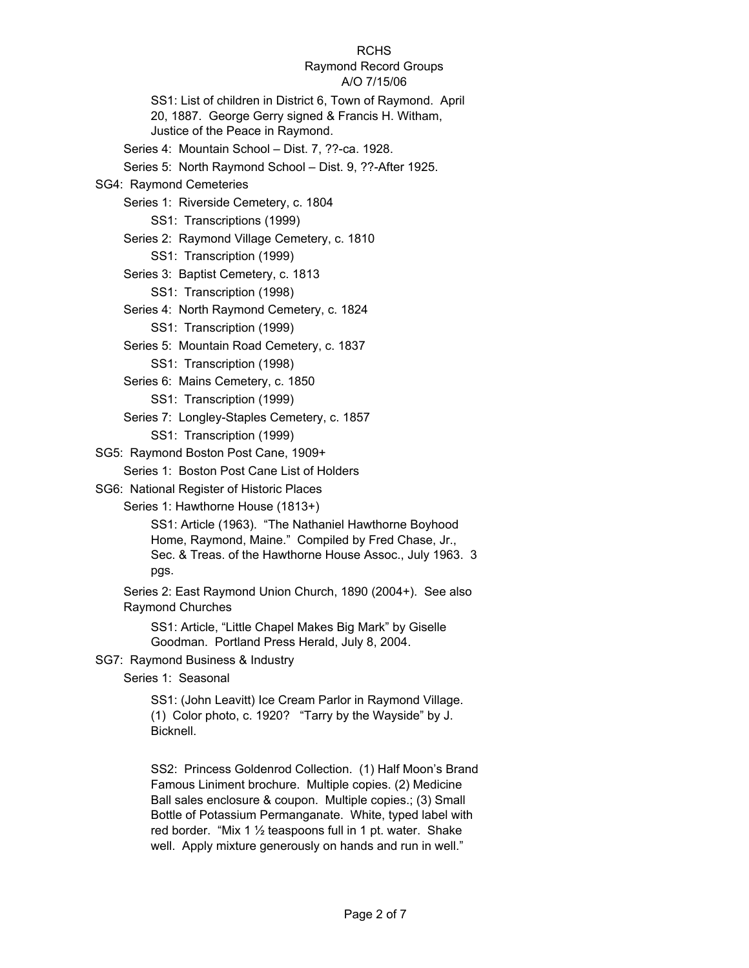# Raymond Record Groups

## A/O 7/15/06

SS1: List of children in District 6, Town of Raymond. April 20, 1887. George Gerry signed & Francis H. Witham, Justice of the Peace in Raymond.

Series 4: Mountain School – Dist. 7, ??-ca. 1928.

Series 5: North Raymond School – Dist. 9, ??-After 1925.

# SG4: Raymond Cemeteries

Series 1: Riverside Cemetery, c. 1804

SS1: Transcriptions (1999)

- Series 2: Raymond Village Cemetery, c. 1810
	- SS1: Transcription (1999)
- Series 3: Baptist Cemetery, c. 1813
	- SS1: Transcription (1998)
- Series 4: North Raymond Cemetery, c. 1824
	- SS1: Transcription (1999)
- Series 5: Mountain Road Cemetery, c. 1837 SS1: Transcription (1998)
- Series 6: Mains Cemetery, c. 1850 SS1: Transcription (1999)
- Series 7: Longley-Staples Cemetery, c. 1857 SS1: Transcription (1999)
- SG5: Raymond Boston Post Cane, 1909+

Series 1: Boston Post Cane List of Holders

SG6: National Register of Historic Places

Series 1: Hawthorne House (1813+)

SS1: Article (1963). "The Nathaniel Hawthorne Boyhood Home, Raymond, Maine." Compiled by Fred Chase, Jr., Sec. & Treas. of the Hawthorne House Assoc., July 1963. 3 pgs.

Series 2: East Raymond Union Church, 1890 (2004+). See also Raymond Churches

SS1: Article, "Little Chapel Makes Big Mark" by Giselle Goodman. Portland Press Herald, July 8, 2004.

## SG7: Raymond Business & Industry

Series 1: Seasonal

SS1: (John Leavitt) Ice Cream Parlor in Raymond Village. (1) Color photo, c. 1920? "Tarry by the Wayside" by J. Bicknell.

SS2: Princess Goldenrod Collection. (1) Half Moon's Brand Famous Liniment brochure. Multiple copies. (2) Medicine Ball sales enclosure & coupon. Multiple copies.; (3) Small Bottle of Potassium Permanganate. White, typed label with red border. "Mix 1 ½ teaspoons full in 1 pt. water. Shake well. Apply mixture generously on hands and run in well."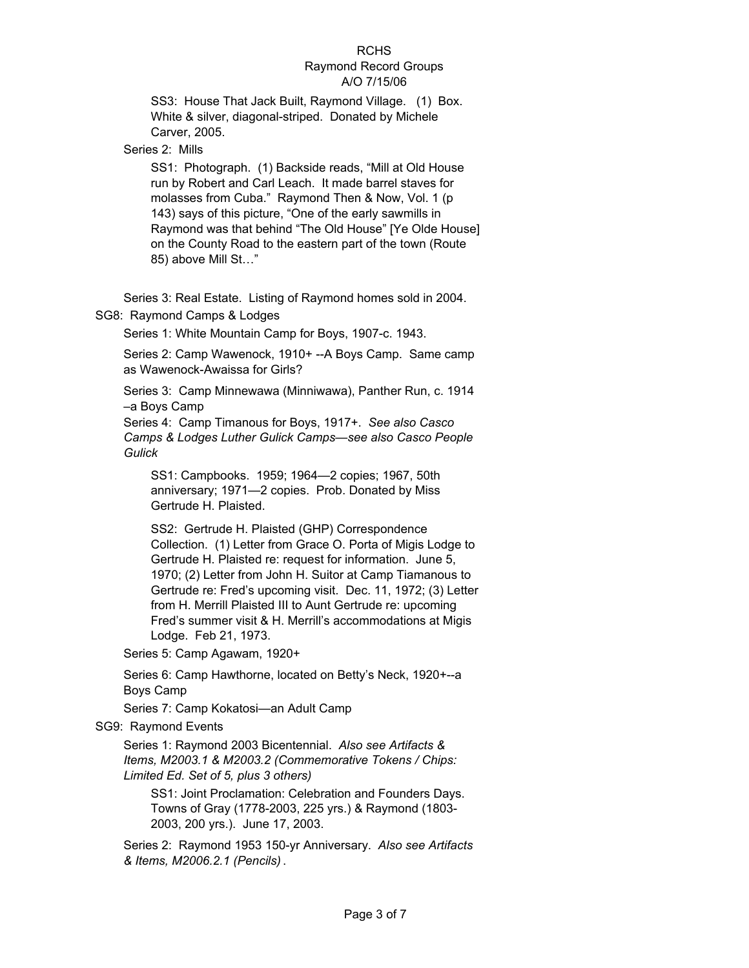#### **RCHS** Raymond Record Groups A/O 7/15/06

SS3: House That Jack Built, Raymond Village. (1) Box. White & silver, diagonal-striped. Donated by Michele Carver, 2005.

Series 2: Mills

SS1: Photograph. (1) Backside reads, "Mill at Old House run by Robert and Carl Leach. It made barrel staves for molasses from Cuba." Raymond Then & Now, Vol. 1 (p 143) says of this picture, "One of the early sawmills in Raymond was that behind "The Old House" [Ye Olde House] on the County Road to the eastern part of the town (Route 85) above Mill St…"

Series 3: Real Estate. Listing of Raymond homes sold in 2004.

## SG8: Raymond Camps & Lodges

Series 1: White Mountain Camp for Boys, 1907-c. 1943.

Series 2: Camp Wawenock, 1910+ --A Boys Camp. Same camp as Wawenock-Awaissa for Girls?

Series 3: Camp Minnewawa (Minniwawa), Panther Run, c. 1914 –a Boys Camp

Series 4: Camp Timanous for Boys, 1917+. *See also Casco Camps & Lodges Luther Gulick Camps—see also Casco People Gulick*

SS1: Campbooks. 1959; 1964—2 copies; 1967, 50th anniversary; 1971—2 copies. Prob. Donated by Miss Gertrude H. Plaisted.

SS2: Gertrude H. Plaisted (GHP) Correspondence Collection. (1) Letter from Grace O. Porta of Migis Lodge to Gertrude H. Plaisted re: request for information. June 5, 1970; (2) Letter from John H. Suitor at Camp Tiamanous to Gertrude re: Fred's upcoming visit. Dec. 11, 1972; (3) Letter from H. Merrill Plaisted III to Aunt Gertrude re: upcoming Fred's summer visit & H. Merrill's accommodations at Migis Lodge. Feb 21, 1973.

Series 5: Camp Agawam, 1920+

Series 6: Camp Hawthorne, located on Betty's Neck, 1920+--a Boys Camp

Series 7: Camp Kokatosi—an Adult Camp

SG9: Raymond Events

Series 1: Raymond 2003 Bicentennial. *Also see Artifacts & Items, M2003.1 & M2003.2 (Commemorative Tokens / Chips: Limited Ed. Set of 5, plus 3 others)*

SS1: Joint Proclamation: Celebration and Founders Days. Towns of Gray (1778-2003, 225 yrs.) & Raymond (1803- 2003, 200 yrs.). June 17, 2003.

Series 2: Raymond 1953 150-yr Anniversary. *Also see Artifacts & Items, M2006.2.1 (Pencils)* .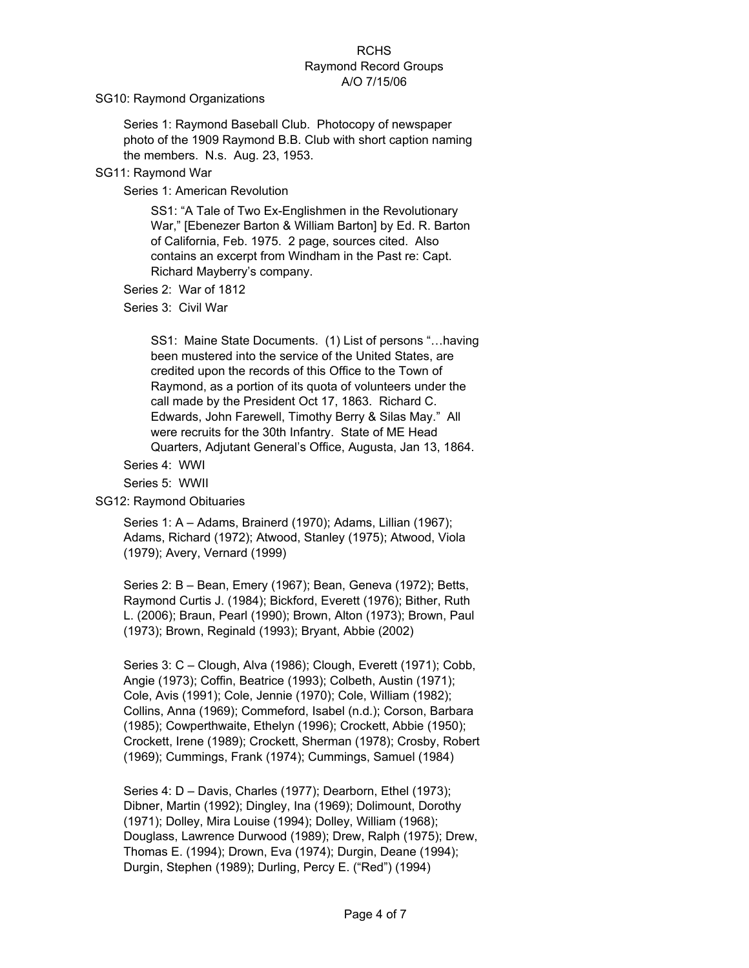#### **RCHS** Raymond Record Groups A/O 7/15/06

SG10: Raymond Organizations

Series 1: Raymond Baseball Club. Photocopy of newspaper photo of the 1909 Raymond B.B. Club with short caption naming the members. N.s. Aug. 23, 1953.

SG11: Raymond War

Series 1: American Revolution

SS1: "A Tale of Two Ex-Englishmen in the Revolutionary War," [Ebenezer Barton & William Barton] by Ed. R. Barton of California, Feb. 1975. 2 page, sources cited. Also contains an excerpt from Windham in the Past re: Capt. Richard Mayberry's company.

Series 2: War of 1812

Series 3: Civil War

SS1: Maine State Documents. (1) List of persons "…having been mustered into the service of the United States, are credited upon the records of this Office to the Town of Raymond, as a portion of its quota of volunteers under the call made by the President Oct 17, 1863. Richard C. Edwards, John Farewell, Timothy Berry & Silas May." All were recruits for the 30th Infantry. State of ME Head Quarters, Adjutant General's Office, Augusta, Jan 13, 1864.

Series 4: WWI

Series 5: WWII

SG12: Raymond Obituaries

Series 1: A – Adams, Brainerd (1970); Adams, Lillian (1967); Adams, Richard (1972); Atwood, Stanley (1975); Atwood, Viola (1979); Avery, Vernard (1999)

Series 2: B – Bean, Emery (1967); Bean, Geneva (1972); Betts, Raymond Curtis J. (1984); Bickford, Everett (1976); Bither, Ruth L. (2006); Braun, Pearl (1990); Brown, Alton (1973); Brown, Paul (1973); Brown, Reginald (1993); Bryant, Abbie (2002)

Series 3: C – Clough, Alva (1986); Clough, Everett (1971); Cobb, Angie (1973); Coffin, Beatrice (1993); Colbeth, Austin (1971); Cole, Avis (1991); Cole, Jennie (1970); Cole, William (1982); Collins, Anna (1969); Commeford, Isabel (n.d.); Corson, Barbara (1985); Cowperthwaite, Ethelyn (1996); Crockett, Abbie (1950); Crockett, Irene (1989); Crockett, Sherman (1978); Crosby, Robert (1969); Cummings, Frank (1974); Cummings, Samuel (1984)

Series 4: D – Davis, Charles (1977); Dearborn, Ethel (1973); Dibner, Martin (1992); Dingley, Ina (1969); Dolimount, Dorothy (1971); Dolley, Mira Louise (1994); Dolley, William (1968); Douglass, Lawrence Durwood (1989); Drew, Ralph (1975); Drew, Thomas E. (1994); Drown, Eva (1974); Durgin, Deane (1994); Durgin, Stephen (1989); Durling, Percy E. ("Red") (1994)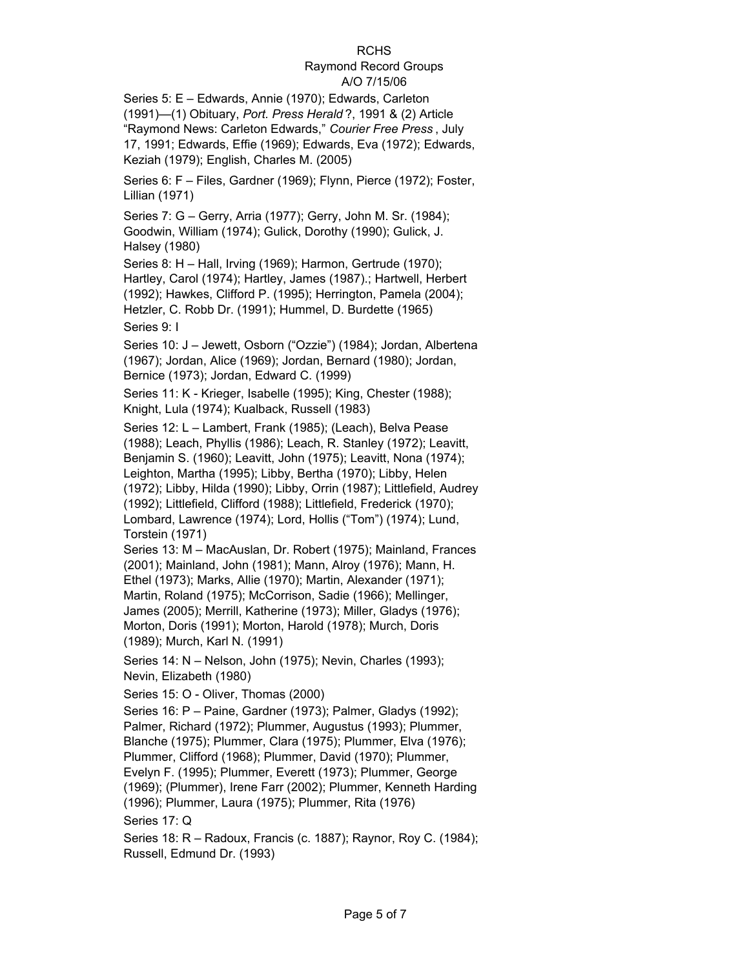#### Raymond Record Groups A/O 7/15/06

Series 5: E – Edwards, Annie (1970); Edwards, Carleton (1991)—(1) Obituary, *Port. Press Herald* ?, 1991 & (2) Article "Raymond News: Carleton Edwards," *Courier Free Press* , July 17, 1991; Edwards, Effie (1969); Edwards, Eva (1972); Edwards, Keziah (1979); English, Charles M. (2005)

Series 6: F – Files, Gardner (1969); Flynn, Pierce (1972); Foster, Lillian (1971)

Series 7: G – Gerry, Arria (1977); Gerry, John M. Sr. (1984); Goodwin, William (1974); Gulick, Dorothy (1990); Gulick, J. Halsey (1980)

Series 8: H – Hall, Irving (1969); Harmon, Gertrude (1970); Hartley, Carol (1974); Hartley, James (1987).; Hartwell, Herbert (1992); Hawkes, Clifford P. (1995); Herrington, Pamela (2004); Hetzler, C. Robb Dr. (1991); Hummel, D. Burdette (1965) Series 9: I

Series 10: J – Jewett, Osborn ("Ozzie") (1984); Jordan, Albertena (1967); Jordan, Alice (1969); Jordan, Bernard (1980); Jordan, Bernice (1973); Jordan, Edward C. (1999)

Series 11: K - Krieger, Isabelle (1995); King, Chester (1988); Knight, Lula (1974); Kualback, Russell (1983)

Series 12: L – Lambert, Frank (1985); (Leach), Belva Pease (1988); Leach, Phyllis (1986); Leach, R. Stanley (1972); Leavitt, Benjamin S. (1960); Leavitt, John (1975); Leavitt, Nona (1974); Leighton, Martha (1995); Libby, Bertha (1970); Libby, Helen (1972); Libby, Hilda (1990); Libby, Orrin (1987); Littlefield, Audrey (1992); Littlefield, Clifford (1988); Littlefield, Frederick (1970); Lombard, Lawrence (1974); Lord, Hollis ("Tom") (1974); Lund, Torstein (1971)

Series 13: M – MacAuslan, Dr. Robert (1975); Mainland, Frances (2001); Mainland, John (1981); Mann, Alroy (1976); Mann, H. Ethel (1973); Marks, Allie (1970); Martin, Alexander (1971); Martin, Roland (1975); McCorrison, Sadie (1966); Mellinger, James (2005); Merrill, Katherine (1973); Miller, Gladys (1976); Morton, Doris (1991); Morton, Harold (1978); Murch, Doris (1989); Murch, Karl N. (1991)

Series 14: N – Nelson, John (1975); Nevin, Charles (1993); Nevin, Elizabeth (1980)

Series 15: O - Oliver, Thomas (2000)

Series 16: P – Paine, Gardner (1973); Palmer, Gladys (1992); Palmer, Richard (1972); Plummer, Augustus (1993); Plummer, Blanche (1975); Plummer, Clara (1975); Plummer, Elva (1976); Plummer, Clifford (1968); Plummer, David (1970); Plummer, Evelyn F. (1995); Plummer, Everett (1973); Plummer, George (1969); (Plummer), Irene Farr (2002); Plummer, Kenneth Harding (1996); Plummer, Laura (1975); Plummer, Rita (1976) Series 17: Q

Series 18: R – Radoux, Francis (c. 1887); Raynor, Roy C. (1984); Russell, Edmund Dr. (1993)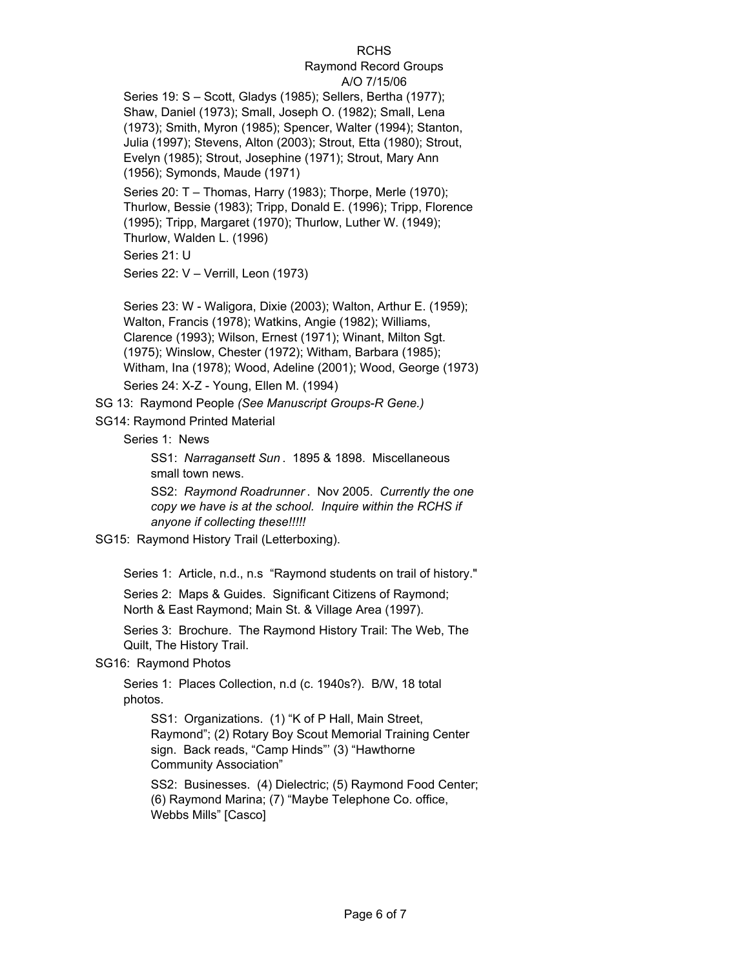#### Raymond Record Groups A/O 7/15/06

Series 19: S – Scott, Gladys (1985); Sellers, Bertha (1977); Shaw, Daniel (1973); Small, Joseph O. (1982); Small, Lena (1973); Smith, Myron (1985); Spencer, Walter (1994); Stanton, Julia (1997); Stevens, Alton (2003); Strout, Etta (1980); Strout, Evelyn (1985); Strout, Josephine (1971); Strout, Mary Ann (1956); Symonds, Maude (1971)

Series 20: T – Thomas, Harry (1983); Thorpe, Merle (1970); Thurlow, Bessie (1983); Tripp, Donald E. (1996); Tripp, Florence (1995); Tripp, Margaret (1970); Thurlow, Luther W. (1949); Thurlow, Walden L. (1996)

Series 21: U

Series 22: V – Verrill, Leon (1973)

Series 23: W - Waligora, Dixie (2003); Walton, Arthur E. (1959); Walton, Francis (1978); Watkins, Angie (1982); Williams, Clarence (1993); Wilson, Ernest (1971); Winant, Milton Sgt. (1975); Winslow, Chester (1972); Witham, Barbara (1985); Witham, Ina (1978); Wood, Adeline (2001); Wood, George (1973) Series 24: X-Z - Young, Ellen M. (1994)

SG 13: Raymond People *(See Manuscript Groups-R Gene.)*

SG14: Raymond Printed Material

Series 1: News

SS1: *Narragansett Sun* . 1895 & 1898. Miscellaneous small town news.

SS2: *Raymond Roadrunner* . Nov 2005. *Currently the one copy we have is at the school. Inquire within the RCHS if anyone if collecting these!!!!!*

SG15: Raymond History Trail (Letterboxing).

Series 1: Article, n.d., n.s "Raymond students on trail of history."

Series 2: Maps & Guides. Significant Citizens of Raymond; North & East Raymond; Main St. & Village Area (1997).

Series 3: Brochure. The Raymond History Trail: The Web, The Quilt, The History Trail.

SG16: Raymond Photos

Series 1: Places Collection, n.d (c. 1940s?). B/W, 18 total photos.

SS1: Organizations. (1) "K of P Hall, Main Street, Raymond"; (2) Rotary Boy Scout Memorial Training Center sign. Back reads, "Camp Hinds"' (3) "Hawthorne Community Association"

SS2: Businesses. (4) Dielectric; (5) Raymond Food Center; (6) Raymond Marina; (7) "Maybe Telephone Co. office, Webbs Mills" [Casco]